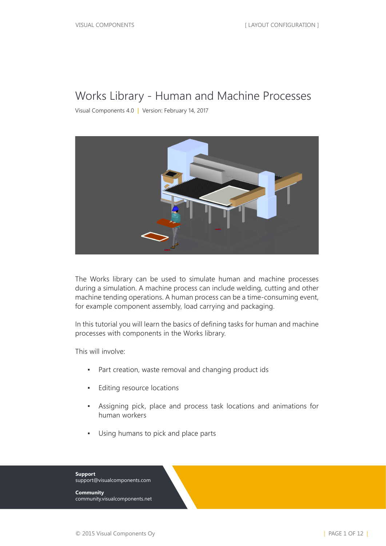#### Works Library - Human and Machine Processes

Visual Components 4.0 **|** Version: February 14, 2017



The Works library can be used to simulate human and machine processes during a simulation. A machine process can include welding, cutting and other machine tending operations. A human process can be a time-consuming event, for example component assembly, load carrying and packaging.

In this tutorial you will learn the basics of defining tasks for human and machine processes with components in the Works library.

This will involve:

- Part creation, waste removal and changing product ids
- Editing resource locations
- Assigning pick, place and process task locations and animations for human workers
- Using humans to pick and place parts



**Community** community.visualcomponents.net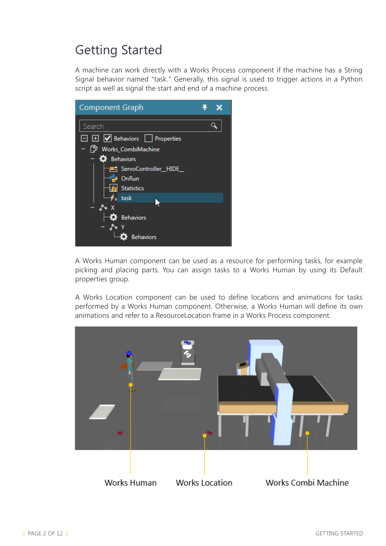# Getting Started

A machine can work directly with a Works Process component if the machine has a String Signal behavior named "task." Generally, this signal is used to trigger actions in a Python script as well as signal the start and end of a machine process.



A Works Human component can be used as a resource for performing tasks, for example picking and placing parts. You can assign tasks to a Works Human by using its Default properties group.

A Works Location component can be used to define locations and animations for tasks performed by a Works Human component. Otherwise, a Works Human will define its own animations and refer to a ResourceLocation frame in a Works Process component.

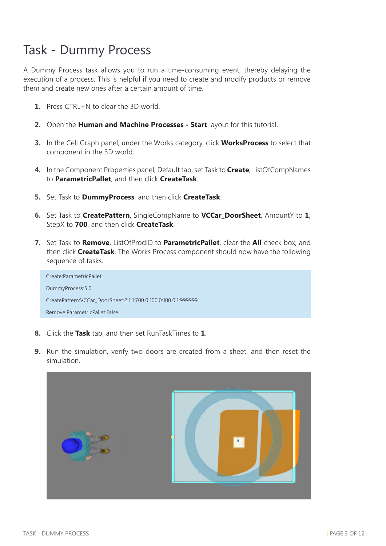### Task - Dummy Process

A Dummy Process task allows you to run a time-consuming event, thereby delaying the execution of a process. This is helpful if you need to create and modify products or remove them and create new ones after a certain amount of time.

- **1.** Press CTRL+N to clear the 3D world.
- **2.** Open the **Human and Machine Processes Start** layout for this tutorial.
- **3.** In the Cell Graph panel, under the Works category, click **WorksProcess** to select that component in the 3D world.
- **4.** In the Component Properties panel, Default tab, set Task to **Create**, ListOfCompNames to **ParametricPallet**, and then click **CreateTask**.
- **5.** Set Task to **DummyProcess**, and then click **CreateTask**.
- **6.** Set Task to **CreatePattern**, SingleCompName to **VCCar\_DoorSheet**, AmountY to **1**, StepX to **700**, and then click **CreateTask**.
- **7.** Set Task to **Remove**, ListOfProdID to **ParametricPallet**, clear the **All** check box, and then click **CreateTask**. The Works Process component should now have the following sequence of tasks.

| Create:ParametricPallet:                                       |
|----------------------------------------------------------------|
| DummyProcess: 5.0                                              |
| CreatePattern:VCCar DoorSheet:2:1:1:700.0:100.0:100.0:1:999999 |
| Remove:ParametricPallet:False                                  |

- **8.** Click the **Task** tab, and then set RunTaskTimes to **1**.
- **9.** Run the simulation, verify two doors are created from a sheet, and then reset the simulation.

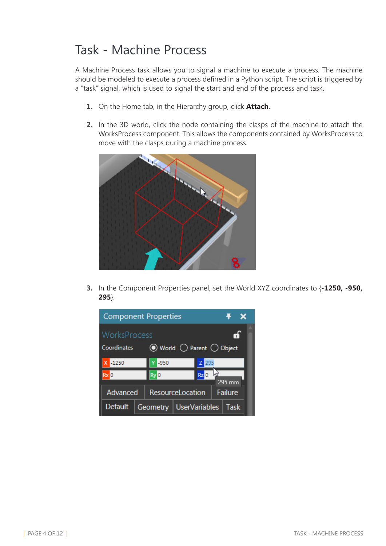### Task - Machine Process

A Machine Process task allows you to signal a machine to execute a process. The machine should be modeled to execute a process defined in a Python script. The script is triggered by a "task" signal, which is used to signal the start and end of the process and task.

- **1.** On the Home tab, in the Hierarchy group, click **Attach**.
- **2.** In the 3D world, click the node containing the clasps of the machine to attach the WorksProcess component. This allows the components contained by WorksProcess to move with the clasps during a machine process.



**3.** In the Component Properties panel, set the World XYZ coordinates to {**-1250, -950, 295**}.

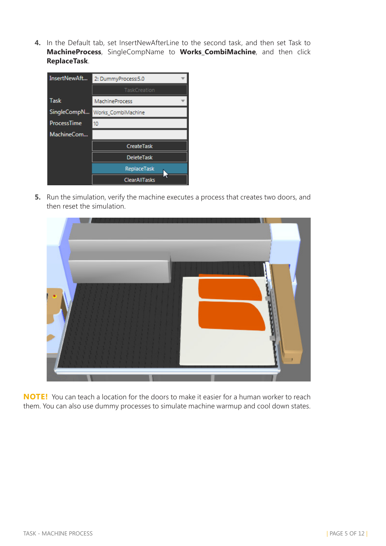**4.** In the Default tab, set InsertNewAfterLine to the second task, and then set Task to **MachineProcess**, SingleCompName to **Works\_CombiMachine**, and then click **ReplaceTask**.

| InsertNewAft       | 2: DummyProcess:5.0            |
|--------------------|--------------------------------|
|                    | TaskCreation                   |
| Task               | MachineProcess                 |
|                    | SingleCompN Works_CombiMachine |
| <b>ProcessTime</b> | 10                             |
| MachineCom         |                                |
|                    | CreateTask                     |
|                    | <b>DeleteTask</b>              |
|                    | ReplaceTask                    |
|                    | <b>ClearAllTasks</b>           |

**5.** Run the simulation, verify the machine executes a process that creates two doors, and then reset the simulation.



**NOTE!** You can teach a location for the doors to make it easier for a human worker to reach them. You can also use dummy processes to simulate machine warmup and cool down states.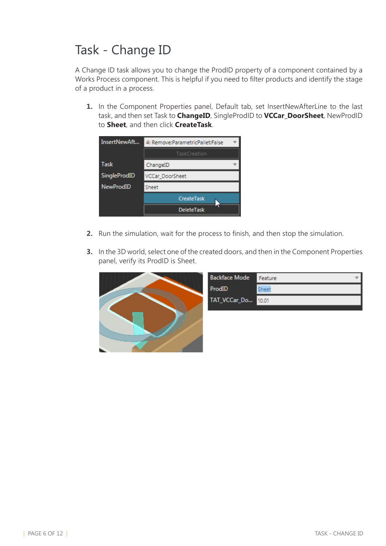# Task - Change ID

A Change ID task allows you to change the ProdID property of a component contained by a Works Process component. This is helpful if you need to filter products and identify the stage of a product in a process.

**1.** In the Component Properties panel, Default tab, set InsertNewAfterLine to the last task, and then set Task to **ChangeID**, SingleProdID to **VCCar\_DoorSheet**, NewProdID to **Sheet**, and then click **CreateTask**.

| InsertNewAft     | 4: Remove:ParametricPallet:False |
|------------------|----------------------------------|
|                  | TaskCreation                     |
| Task             | ChangeID                         |
| SingleProdID     | VCCar DoorSheet                  |
| <b>NewProdID</b> | Sheet                            |
|                  | CreateTask                       |
|                  | <b>DeleteTask</b>                |

- **2.** Run the simulation, wait for the process to finish, and then stop the simulation.
- **3.** In the 3D world, select one of the created doors, and then in the Component Properties panel, verify its ProdID is Sheet.



| <b>Backface Mode</b> | Feature |
|----------------------|---------|
| ProdID               |         |
| TAT_VCCar_Do 10.01   |         |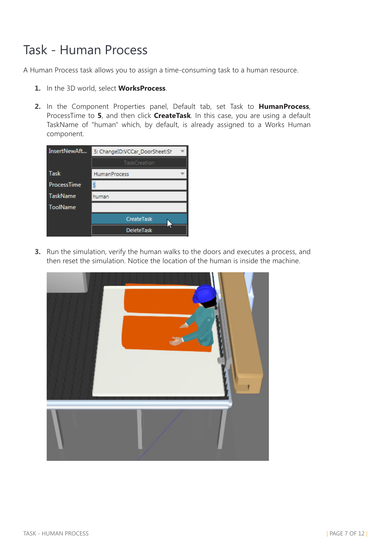# Task - Human Process

A Human Process task allows you to assign a time-consuming task to a human resource.

- **1.** In the 3D world, select **WorksProcess**.
- **2.** In the Component Properties panel, Default tab, set Task to **HumanProcess**, ProcessTime to **5**, and then click **CreateTask**. In this case, you are using a default TaskName of "human" which, by default, is already assigned to a Works Human component.

| InsertNewAft       | 5: ChangeID:VCCar_DoorSheet:Sh |  |
|--------------------|--------------------------------|--|
|                    | TaskCreation                   |  |
| <b>Task</b>        | <b>HumanProcess</b>            |  |
| <b>ProcessTime</b> |                                |  |
| <b>TaskName</b>    | human                          |  |
| <b>ToolName</b>    |                                |  |
|                    | CreateTask                     |  |
|                    | <b>DeleteTask</b>              |  |

**3.** Run the simulation, verify the human walks to the doors and executes a process, and then reset the simulation. Notice the location of the human is inside the machine.

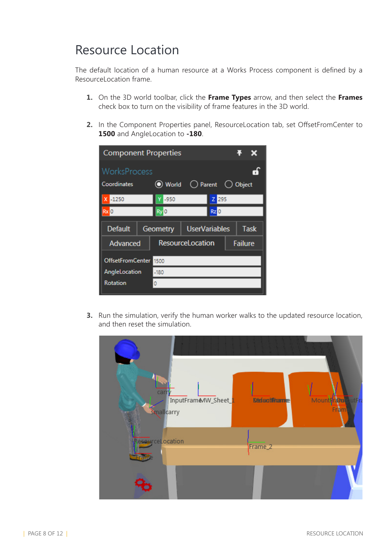#### Resource Location

The default location of a human resource at a Works Process component is defined by a ResourceLocation frame.

- **1.** On the 3D world toolbar, click the **Frame Types** arrow, and then select the **Frames** check box to turn on the visibility of frame features in the 3D world.
- **2.** In the Component Properties panel, ResourceLocation tab, set OffsetFromCenter to **1500** and AngleLocation to **-180**.

| <b>Component Properties</b> |  |                   |                         |         |                | $\mathbf x$ |
|-----------------------------|--|-------------------|-------------------------|---------|----------------|-------------|
| WorksProcess                |  |                   |                         |         |                | Gh)         |
| Coordinates                 |  | (■ World          | ◯ Parent () Object      |         |                |             |
| X -1250                     |  | $-950$            |                         | $Z$ 295 |                |             |
| $Rx$ <sub>0</sub>           |  | $Ry$ <sup>O</sup> | $Rz$ <sub>0</sub>       |         |                |             |
| <b>Default</b>              |  |                   |                         |         |                | <b>Task</b> |
|                             |  | Geometry          | UserVariables           |         |                |             |
| Advanced                    |  |                   | <b>ResourceLocation</b> |         | <b>Failure</b> |             |
| <b>OffsetFromCenter</b>     |  | 1500              |                         |         |                |             |
| AngleLocation               |  | $-180$            |                         |         |                |             |
| <b>Rotation</b>             |  | 0                 |                         |         |                |             |

**3.** Run the simulation, verify the human worker walks to the updated resource location, and then reset the simulation.

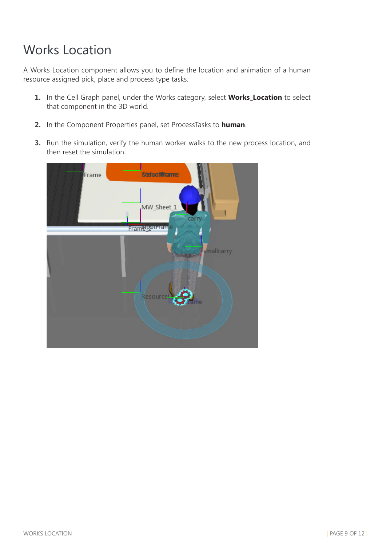# Works Location

A Works Location component allows you to define the location and animation of a human resource assigned pick, place and process type tasks.

- **1.** In the Cell Graph panel, under the Works category, select **Works\_Location** to select that component in the 3D world.
- **2.** In the Component Properties panel, set ProcessTasks to **human**.
- **3.** Run the simulation, verify the human worker walks to the new process location, and then reset the simulation.

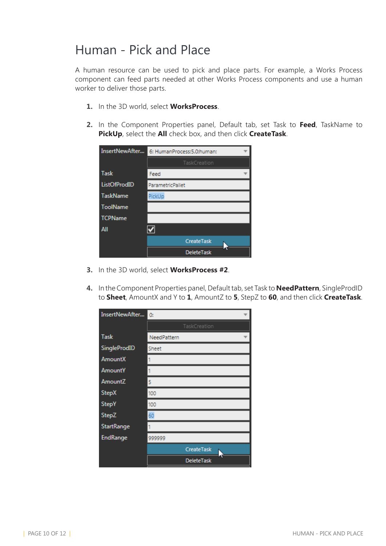#### Human - Pick and Place

A human resource can be used to pick and place parts. For example, a Works Process component can feed parts needed at other Works Process components and use a human worker to deliver those parts.

- **1.** In the 3D world, select **WorksProcess**.
- **2.** In the Component Properties panel, Default tab, set Task to **Feed**, TaskName to **PickUp**, select the **All** check box, and then click **CreateTask**.

| InsertNewAfter  | 6: HumanProcess:5.0:human: |
|-----------------|----------------------------|
|                 | TaskCreation               |
| Task            | Feed                       |
| ListOfProdID    | ParametricPallet           |
| <b>TaskName</b> | PickUp                     |
| <b>ToolName</b> |                            |
| <b>TCPName</b>  |                            |
| All             |                            |
|                 | <b>CreateTask</b>          |
|                 | <b>DeleteTask</b>          |

- **3.** In the 3D world, select **WorksProcess #2**.
- **4.** In the Component Properties panel, Default tab, set Task to **NeedPattern**, SingleProdID to **Sheet**, AmountX and Y to **1**, AmountZ to **5**, StepZ to **60**, and then click **CreateTask**.

| InsertNewAfter  | 0:                |
|-----------------|-------------------|
|                 | TaskCreation      |
| Task            | NeedPattern       |
| SingleProdID    | Sheet             |
| <b>AmountX</b>  |                   |
| <b>AmountY</b>  |                   |
| AmountZ         | 5                 |
| <b>StepX</b>    | 100               |
| <b>StepY</b>    | 100               |
| <b>StepZ</b>    | 60                |
| StartRange      |                   |
| <b>EndRange</b> | 999999            |
|                 | CreateTask        |
|                 | <b>DeleteTask</b> |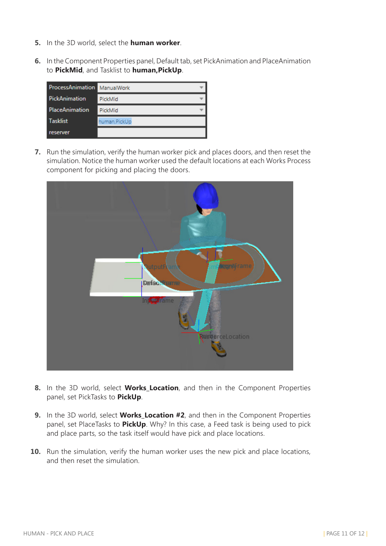- **5.** In the 3D world, select the **human worker**.
- **6.** In the Component Properties panel, Default tab, set PickAnimation and PlaceAnimation to **PickMid**, and Tasklist to **human,PickUp**.

| ProcessAnimation ManualWork |               |
|-----------------------------|---------------|
| PickAnimation               | PickMid       |
| <b>PlaceAnimation</b>       | PickMid       |
| <b>Tasklist</b>             | human, PickUp |
| reserver                    |               |

**7.** Run the simulation, verify the human worker pick and places doors, and then reset the simulation. Notice the human worker used the default locations at each Works Process component for picking and placing the doors.



- **8.** In the 3D world, select **Works\_Location**, and then in the Component Properties panel, set PickTasks to **PickUp**.
- **9.** In the 3D world, select **Works\_Location #2**, and then in the Component Properties panel, set PlaceTasks to **PickUp**. Why? In this case, a Feed task is being used to pick and place parts, so the task itself would have pick and place locations.
- **10.** Run the simulation, verify the human worker uses the new pick and place locations, and then reset the simulation.